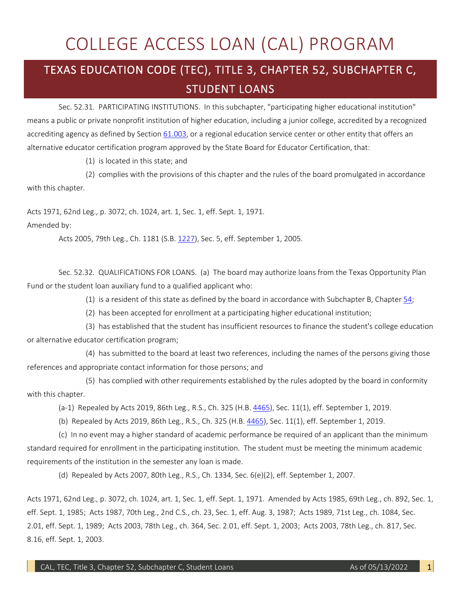## COLLEGE ACCESS LOAN (CAL) PROGRAM

## TEXAS EDUCATION CODE (TEC), TITLE 3, CHAPTER 52, SUBCHAPTER C, STUDENT LOANS

 Sec. 52.31. PARTICIPATING INSTITUTIONS. In this subchapter, "participating higher educational institution" means a public or private nonprofit institution of higher education, including a junior college, accredited by a recognized accrediting agency as defined by Section <u>61.003</u>, or a regional education service center or other entity that offers an alternative educator certification program approved by the State Board for Educator Certification, that:

(1) is located in this state; and

 (2) complies with the provisions of this chapter and the rules of the board promulgated in accordance with this chapter.

Acts 1971, 62nd Leg., p. 3072, ch. 1024, art. 1, Sec. 1, eff. Sept. 1, 1971.

Amended by:

Acts 2005, 79th Leg., Ch. 1181 (S.B. [1227\)](http://www.legis.state.tx.us/tlodocs/79R/billtext/html/SB01227F.HTM), Sec. 5, eff. September 1, 2005.

 Sec. 52.32. QUALIFICATIONS FOR LOANS. (a) The board may authorize loans from the Texas Opportunity Plan Fund or the student loan auxiliary fund to a qualified applicant who:

(1) is a resident of this state as defined by the board in accordance with Subchapter B, Chapter [54;](http://www.statutes.legis.state.tx.us/GetStatute.aspx?Code=ED&Value=54)

(2) has been accepted for enrollment at a participating higher educational institution;

 (3) has established that the student has insufficient resources to finance the student's college education or alternative educator certification program;

(4) has submitted to the board at least two references, including the names of the persons giving those references and appropriate contact information for those persons; and

 (5) has complied with other requirements established by the rules adopted by the board in conformity with this chapter.

(a-1) Repealed by Acts 2019, 86th Leg., R.S., Ch. 325 (H.B. [4465\)](http://www.legis.state.tx.us/tlodocs/86R/billtext/html/HB04465F.HTM), Sec. 11(1), eff. September 1, 2019.

(b) Repealed by Acts 2019, 86th Leg., R.S., Ch. 325 (H.B. [4465\)](http://www.legis.state.tx.us/tlodocs/86R/billtext/html/HB04465F.HTM), Sec. 11(1), eff. September 1, 2019.

 (c) In no event may a higher standard of academic performance be required of an applicant than the minimum standard required for enrollment in the participating institution. The student must be meeting the minimum academic requirements of the institution in the semester any loan is made.

(d) Repealed by Acts 2007, 80th Leg., R.S., Ch. 1334, Sec. 6(e)(2), eff. September 1, 2007.

 2.01, eff. Sept. 1, 1989; Acts 2003, 78th Leg., ch. 364, Sec. 2.01, eff. Sept. 1, 2003; Acts 2003, 78th Leg., ch. 817, Sec. Acts 1971, 62nd Leg., p. 3072, ch. 1024, art. 1, Sec. 1, eff. Sept. 1, 1971. Amended by Acts 1985, 69th Leg., ch. 892, Sec. 1, eff. Sept. 1, 1985; Acts 1987, 70th Leg., 2nd C.S., ch. 23, Sec. 1, eff. Aug. 3, 1987; Acts 1989, 71st Leg., ch. 1084, Sec. 8.16, eff. Sept. 1, 2003.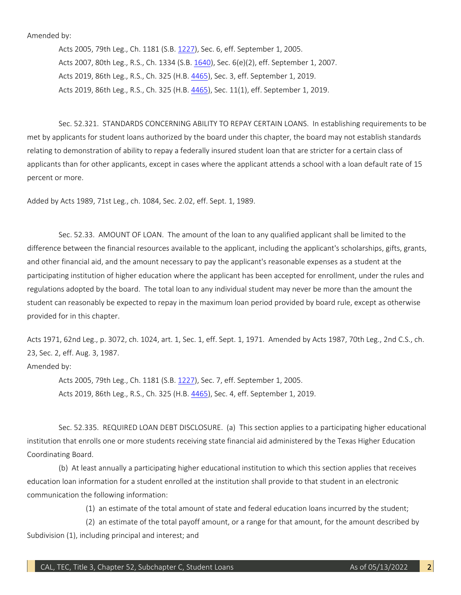Amended by:

Acts 2005, 79th Leg., Ch. 1181 (S.B. [1227\)](http://www.legis.state.tx.us/tlodocs/79R/billtext/html/SB01227F.HTM), Sec. 6, eff. September 1, 2005. Acts 2007, 80th Leg., R.S., Ch. 1334 (S.B[. 1640\)](http://www.legis.state.tx.us/tlodocs/80R/billtext/html/SB01640F.HTM), Sec. 6(e)(2), eff. September 1, 2007. Acts 2019, 86th Leg., R.S., Ch. 325 (H.B. [4465\)](http://www.legis.state.tx.us/tlodocs/86R/billtext/html/HB04465F.HTM), Sec. 3, eff. September 1, 2019. Acts 2019, 86th Leg., R.S., Ch. 325 (H.B. [4465\)](http://www.legis.state.tx.us/tlodocs/86R/billtext/html/HB04465F.HTM), Sec. 11(1), eff. September 1, 2019.

 Sec. 52.321. STANDARDS CONCERNING ABILITY TO REPAY CERTAIN LOANS. In establishing requirements to be relating to demonstration of ability to repay a federally insured student loan that are stricter for a certain class of applicants than for other applicants, except in cases where the applicant attends a school with a loan default rate of 15 met by applicants for student loans authorized by the board under this chapter, the board may not establish standards percent or more.

Added by Acts 1989, 71st Leg., ch. 1084, Sec. 2.02, eff. Sept. 1, 1989.

 Sec. 52.33. AMOUNT OF LOAN. The amount of the loan to any qualified applicant shall be limited to the and other financial aid, and the amount necessary to pay the applicant's reasonable expenses as a student at the participating institution of higher education where the applicant has been accepted for enrollment, under the rules and regulations adopted by the board. The total loan to any individual student may never be more than the amount the student can reasonably be expected to repay in the maximum loan period provided by board rule, except as otherwise difference between the financial resources available to the applicant, including the applicant's scholarships, gifts, grants, provided for in this chapter.

Acts 1971, 62nd Leg., p. 3072, ch. 1024, art. 1, Sec. 1, eff. Sept. 1, 1971. Amended by Acts 1987, 70th Leg., 2nd C.S., ch. 23, Sec. 2, eff. Aug. 3, 1987.

Amended by:

Acts 2005, 79th Leg., Ch. 1181 (S.B. [1227\)](http://www.legis.state.tx.us/tlodocs/79R/billtext/html/SB01227F.HTM), Sec. 7, eff. September 1, 2005. Acts 2019, 86th Leg., R.S., Ch. 325 (H.B. [4465\)](http://www.legis.state.tx.us/tlodocs/86R/billtext/html/HB04465F.HTM), Sec. 4, eff. September 1, 2019.

 Sec. 52.335. REQUIRED LOAN DEBT DISCLOSURE. (a) This section applies to a participating higher educational institution that enrolls one or more students receiving state financial aid administered by the Texas Higher Education Coordinating Board.

 education loan information for a student enrolled at the institution shall provide to that student in an electronic (b) At least annually a participating higher educational institution to which this section applies that receives communication the following information:

(1) an estimate of the total amount of state and federal education loans incurred by the student;

 (2) an estimate of the total payoff amount, or a range for that amount, for the amount described by Subdivision (1), including principal and interest; and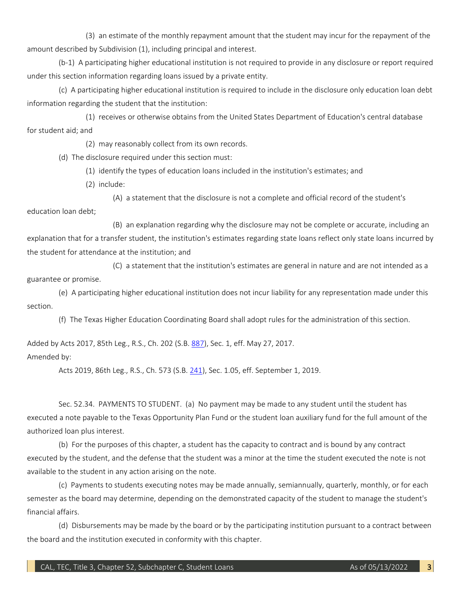(3) an estimate of the monthly repayment amount that the student may incur for the repayment of the amount described by Subdivision (1), including principal and interest.

(b-1) A participating higher educational institution is not required to provide in any disclosure or report required under this section information regarding loans issued by a private entity.

 information regarding the student that the institution: (c) A participating higher educational institution is required to include in the disclosure only education loan debt

 (1) receives or otherwise obtains from the United States Department of Education's central database for student aid; and

(2) may reasonably collect from its own records.

(d) The disclosure required under this section must:

(1) identify the types of education loans included in the institution's estimates; and

(2) include:

(A) a statement that the disclosure is not a complete and official record of the student's

education loan debt;

 (B) an explanation regarding why the disclosure may not be complete or accurate, including an explanation that for a transfer student, the institution's estimates regarding state loans reflect only state loans incurred by the student for attendance at the institution; and

 guarantee or promise. (C) a statement that the institution's estimates are general in nature and are not intended as a

 (e) A participating higher educational institution does not incur liability for any representation made under this section.

(f) The Texas Higher Education Coordinating Board shall adopt rules for the administration of this section.

Added by Acts 2017, 85th Leg., R.S., Ch. 202 (S.B. [887\)](http://www.legis.state.tx.us/tlodocs/85R/billtext/html/SB00887F.HTM), Sec. 1, eff. May 27, 2017. Amended by:

Acts 2019, 86th Leg., R.S., Ch. 573 (S.B. [241\)](http://www.legis.state.tx.us/tlodocs/86R/billtext/html/SB00241F.HTM), Sec. 1.05, eff. September 1, 2019.

 executed a note payable to the Texas Opportunity Plan Fund or the student loan auxiliary fund for the full amount of the Sec. 52.34. PAYMENTS TO STUDENT. (a) No payment may be made to any student until the student has authorized loan plus interest.

 (b) For the purposes of this chapter, a student has the capacity to contract and is bound by any contract executed by the student, and the defense that the student was a minor at the time the student executed the note is not available to the student in any action arising on the note.

 (c) Payments to students executing notes may be made annually, semiannually, quarterly, monthly, or for each semester as the board may determine, depending on the demonstrated capacity of the student to manage the student's financial affairs.

 (d) Disbursements may be made by the board or by the participating institution pursuant to a contract between the board and the institution executed in conformity with this chapter.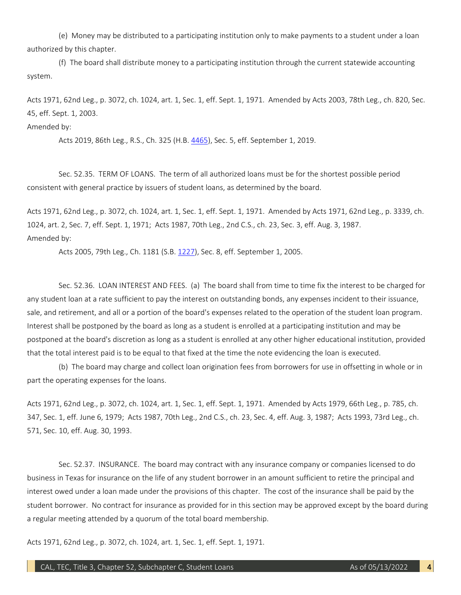(e) Money may be distributed to a participating institution only to make payments to a student under a loan authorized by this chapter.

(f) The board shall distribute money to a participating institution through the current statewide accounting system.

Acts 1971, 62nd Leg., p. 3072, ch. 1024, art. 1, Sec. 1, eff. Sept. 1, 1971. Amended by Acts 2003, 78th Leg., ch. 820, Sec. 45, eff. Sept. 1, 2003.

Amended by:

Acts 2019, 86th Leg., R.S., Ch. 325 (H.B. [4465\)](http://www.legis.state.tx.us/tlodocs/86R/billtext/html/HB04465F.HTM), Sec. 5, eff. September 1, 2019.

 consistent with general practice by issuers of student loans, as determined by the board. Sec. 52.35. TERM OF LOANS. The term of all authorized loans must be for the shortest possible period

 1024, art. 2, Sec. 7, eff. Sept. 1, 1971; Acts 1987, 70th Leg., 2nd C.S., ch. 23, Sec. 3, eff. Aug. 3, 1987. Acts 1971, 62nd Leg., p. 3072, ch. 1024, art. 1, Sec. 1, eff. Sept. 1, 1971. Amended by Acts 1971, 62nd Leg., p. 3339, ch. Amended by:

Acts 2005, 79th Leg., Ch. 1181 (S.B. [1227\)](http://www.legis.state.tx.us/tlodocs/79R/billtext/html/SB01227F.HTM), Sec. 8, eff. September 1, 2005.

 Sec. 52.36. LOAN INTEREST AND FEES. (a) The board shall from time to time fix the interest to be charged for any student loan at a rate sufficient to pay the interest on outstanding bonds, any expenses incident to their issuance, sale, and retirement, and all or a portion of the board's expenses related to the operation of the student loan program. sale, and retirement, and all or a portion of the board's expenses related to the operation of the student loan program.<br>Interest shall be postponed by the board as long as a student is enrolled at a participating institut postponed at the board's discretion as long as a student is enrolled at any other higher educational institution, provided that the total interest paid is to be equal to that fixed at the time the note evidencing the loan is executed.

 (b) The board may charge and collect loan origination fees from borrowers for use in offsetting in whole or in part the operating expenses for the loans.

Acts 1971, 62nd Leg., p. 3072, ch. 1024, art. 1, Sec. 1, eff. Sept. 1, 1971. Amended by Acts 1979, 66th Leg., p. 785, ch. 347, Sec. 1, eff. June 6, 1979; Acts 1987, 70th Leg., 2nd C.S., ch. 23, Sec. 4, eff. Aug. 3, 1987; Acts 1993, 73rd Leg., ch. 571, Sec. 10, eff. Aug. 30, 1993.

 Sec. 52.37. INSURANCE. The board may contract with any insurance company or companies licensed to do interest owed under a loan made under the provisions of this chapter. The cost of the insurance shall be paid by the student borrower. No contract for insurance as provided for in this section may be approved except by the board during business in Texas for insurance on the life of any student borrower in an amount sufficient to retire the principal and a regular meeting attended by a quorum of the total board membership.

Acts 1971, 62nd Leg., p. 3072, ch. 1024, art. 1, Sec. 1, eff. Sept. 1, 1971.